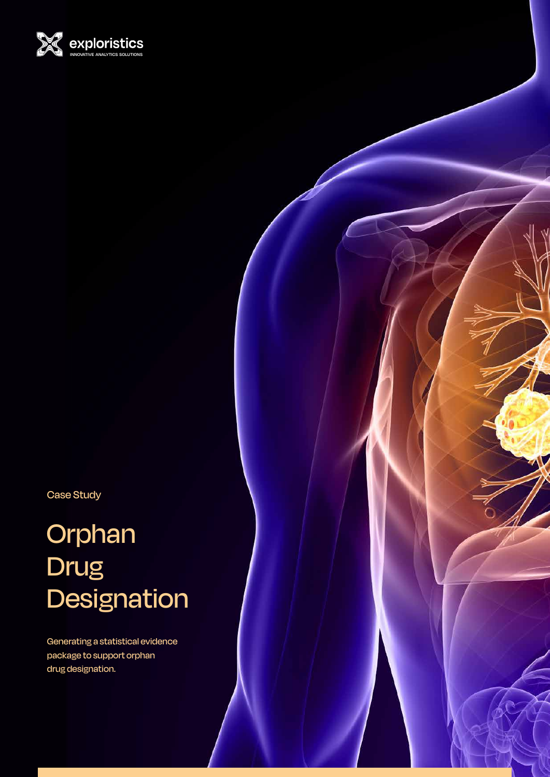

Case Study

# Orphan Drug **Designation**

Generating a statistical evidence package to support orphan drug designation.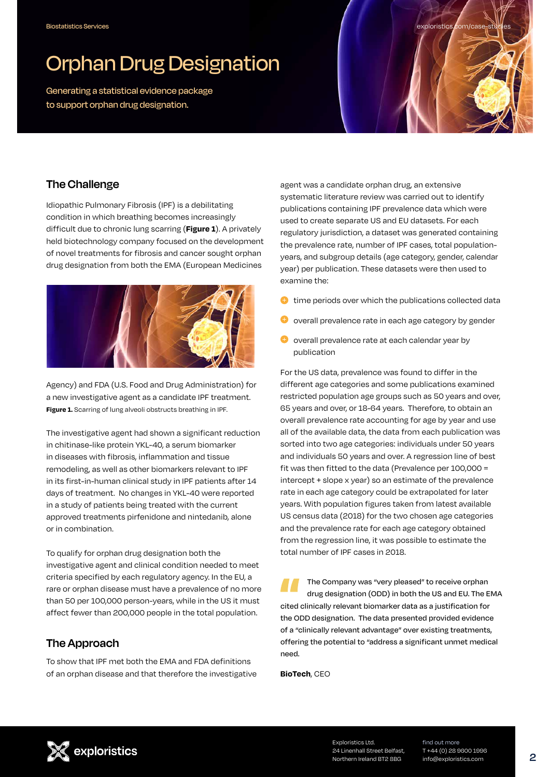## Orphan Drug Designation

Generating a statistical evidence package to support orphan drug designation.

#### **The Challenge**

Idiopathic Pulmonary Fibrosis (IPF) is a debilitating condition in which breathing becomes increasingly difficult due to chronic lung scarring (**Figure 1**). A privately held biotechnology company focused on the development of novel treatments for fibrosis and cancer sought orphan drug designation from both the EMA (European Medicines



Agency) and FDA (U.S. Food and Drug Administration) for a new investigative agent as a candidate IPF treatment. **Figure 1.** Scarring of lung alveoli obstructs breathing in IPF.

The investigative agent had shown a significant reduction in chitinase-like protein YKL-40, a serum biomarker in diseases with fibrosis, inflammation and tissue remodeling, as well as other biomarkers relevant to IPF in its first-in-human clinical study in IPF patients after 14 days of treatment. No changes in YKL-40 were reported in a study of patients being treated with the current approved treatments pirfenidone and nintedanib, alone or in combination.

To qualify for orphan drug designation both the investigative agent and clinical condition needed to meet criteria specified by each regulatory agency. In the EU, a rare or orphan disease must have a prevalence of no more than 50 per 100,000 person-years, while in the US it must affect fewer than 200,000 people in the total population.

#### **The Approach**

To show that IPF met both the EMA and FDA definitions of an orphan disease and that therefore the investigative

agent was a candidate orphan drug, an extensive systematic literature review was carried out to identify publications containing IPF prevalence data which were used to create separate US and EU datasets. For each regulatory jurisdiction, a dataset was generated containing the prevalence rate, number of IPF cases, total populationyears, and subgroup details (age category, gender, calendar year) per publication. These datasets were then used to examine the:

exploristics.com/case-st

- $\bullet$  time periods over which the publications collected data
- $\bullet$  overall prevalence rate in each age category by gender
- $\bigoplus$  overall prevalence rate at each calendar year by publication

For the US data, prevalence was found to differ in the different age categories and some publications examined restricted population age groups such as 50 years and over, 65 years and over, or 18-64 years. Therefore, to obtain an overall prevalence rate accounting for age by year and use all of the available data, the data from each publication was sorted into two age categories: individuals under 50 years and individuals 50 years and over. A regression line of best fit was then fitted to the data (Prevalence per 100,000 = intercept + slope x year) so an estimate of the prevalence rate in each age category could be extrapolated for later years. With population figures taken from latest available US census data (2018) for the two chosen age categories and the prevalence rate for each age category obtained from the regression line, it was possible to estimate the total number of IPF cases in 2018.

The Company was "very pleased" to receive orphan drug designation (ODD) in both the US and EU. The EMA cited clinically relevant biomarker data as a justification for the ODD designation. The data presented provided evidence of a "clinically relevant advantage" over existing treatments, offering the potential to "address a significant unmet medical need.

**BioTech**, CEO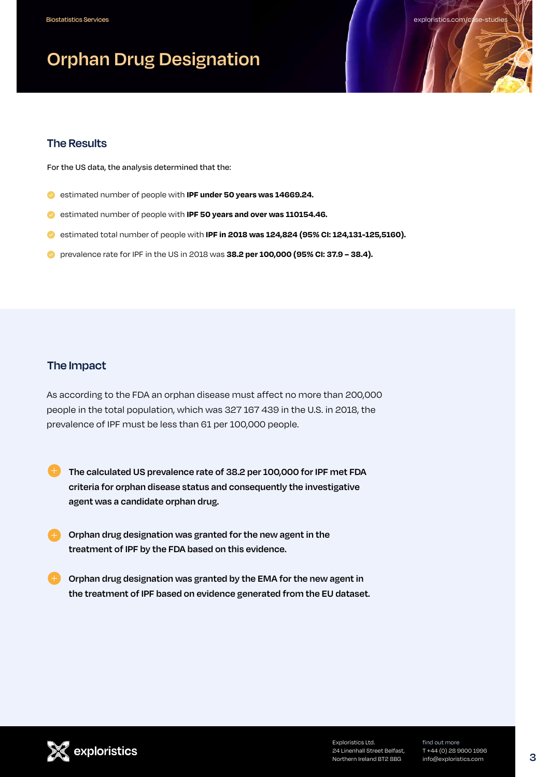### **Orphan Drug Designation**

#### **The Results**

For the US data, the analysis determined that the:

- **estimated number of people with IPF under 50 years was 14669.24.**
- estimated number of people with **IPF 50 years and over was 110154.46.**
- **e** estimated total number of people with **IPF in 2018 was 124,824 (95% CI: 124,131-125,5160).**
- **•** prevalence rate for IPF in the US in 2018 was **38.2 per 100,000 (95% CI: 37.9 38.4).**

#### **The Impact**

As according to the FDA an orphan disease must affect no more than 200,000 people in the total population, which was 327 167 439 in the U.S. in 2018, the prevalence of IPF must be less than 61 per 100,000 people.

- **The calculated US prevalence rate of 38.2 per 100,000 for IPF met FDA criteria for orphan disease status and consequently the investigative agent was a candidate orphan drug.**
- **Orphan drug designation was granted for the new agent in the treatment of IPF by the FDA based on this evidence.**
- **Corphan drug designation was granted by the EMA for the new agent in the treatment of IPF based on evidence generated from the EU dataset.**

Exploristics Ltd. 24 Linenhall Street Belfast, Northern Ireland BT2 8BG

find out more T +44 (0) 28 9600 1996 info@exploristics.com

exploristics.com/c